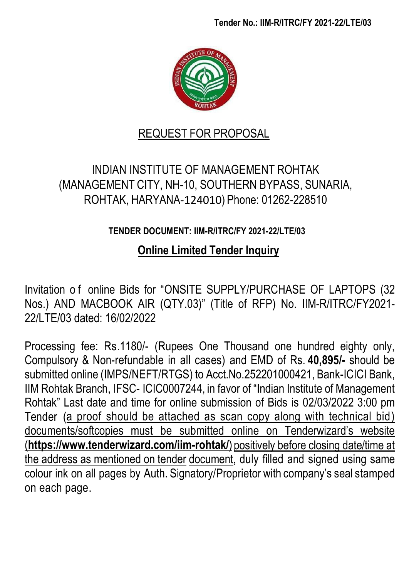

# REQUEST FOR PROPOSAL

# INDIAN INSTITUTE OF MANAGEMENT ROHTAK (MANAGEMENT CITY, NH-10, SOUTHERN BYPASS, SUNARIA, ROHTAK, HARYANA-124010) Phone: 01262-228510

# **TENDER DOCUMENT: IIM-R/ITRC/FY 2021-22/LTE/03**

# **Online Limited Tender Inquiry**

Invitation o f online Bids for "ONSITE SUPPLY/PURCHASE OF LAPTOPS (32 Nos.) AND MACBOOK AIR (QTY.03)" (Title of RFP) No. IIM-R/ITRC/FY2021- 22/LTE/03 dated: 16/02/2022

Processing fee: Rs.1180/- (Rupees One Thousand one hundred eighty only, Compulsory & Non-refundable in all cases) and EMD of Rs. **40,895/-** should be submitted online (IMPS/NEFT/RTGS) to Acct.No.252201000421, Bank-ICICI Bank, IIM Rohtak Branch, IFSC- ICIC0007244, in favor of "Indian Institute of Management Rohtak" Last date and time for online submission of Bids is 02/03/2022 3:00 pm Tender (a proof should be attached as scan copy along with technical bid) documents/softcopies must be submitted online on Tenderwizard's website (**<https://www.tenderwizard.com/iim-rohtak/>**) positively before closing date/time at the address as mentioned on tender document, duly filled and signed using same colour ink on all pages by Auth. Signatory/Proprietor with company's seal stamped on each page.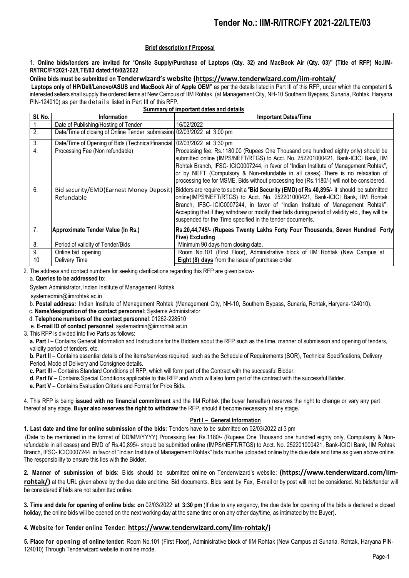### **Brief description f Proposal**

1. **Online bids/tenders are invited for** "**Onsite Supply/Purchase of Laptops (Qty. 32) and MacBook Air (Qty. 03)" (Title of RFP) No.IIM-R/ITRC/FY2021-22/LTE/03 dated:16/02/2022**

### **Online bids must be submitted on Tenderwizard's website (<https://www.tenderwizard.com/iim-rohtak/>**

**Laptops only of HP/Dell/Lenovo/ASUS and MacBook Air of Apple OEM"** as per the details listed in Part III of this RFP, under which the competent & interested sellers shall supply the ordered items at New Campus of IIM Rohtak, (at Management City, NH-10 Southern Byepass, Sunaria, Rohtak, Haryana PIN-124010) as per the details listed in Part III of this RFP.

| Summary of important dates and details |
|----------------------------------------|
|----------------------------------------|

| SI. No. | <b>Information</b>                                                        | <b>Important Dates/Time</b>                                                                                                                                                                                                                                                                                                                                                                                                                                            |
|---------|---------------------------------------------------------------------------|------------------------------------------------------------------------------------------------------------------------------------------------------------------------------------------------------------------------------------------------------------------------------------------------------------------------------------------------------------------------------------------------------------------------------------------------------------------------|
|         | Date of Publishing/Hosting of Tender                                      | 16/02/2022                                                                                                                                                                                                                                                                                                                                                                                                                                                             |
| 2.      | Date/Time of closing of Online Tender submission 02/03/2022 at 3:00 pm    |                                                                                                                                                                                                                                                                                                                                                                                                                                                                        |
| 3.      | Date/Time of Opening of Bids (Technical/financial   02/03/2022 at 3:30 pm |                                                                                                                                                                                                                                                                                                                                                                                                                                                                        |
| 4.      | Processing Fee (Non refundable)                                           | Processing fee: Rs.1180.00 (Rupees One Thousand one hundred eighty only) should be<br>submitted online (IMPS/NEFT/RTGS) to Acct. No. 252201000421, Bank-ICICI Bank, IIM<br>Rohtak Branch, IFSC- ICIC0007244, in favor of "Indian Institute of Management Rohtak",<br>or by NEFT (Compulsory & Non-refundable in all cases) There is no relaxation of<br>processing fee for MSME. Bids without processing fee (Rs.1180/-) will not be considered.                       |
| 6.      | Refundable                                                                | Bid security/EMD(Earnest Money Deposit) Bidders are require to submit a "Bid Security (EMD) of Rs.40,895/- it should be submitted<br>online(IMPS/NEFT/RTGS) to Acct. No. 252201000421, Bank-ICICI Bank, IIM Rohtak<br>Branch, IFSC-ICIC0007244, in favor of "Indian Institute of Management Rohtak".<br>Accepting that if they withdraw or modify their bids during period of validity etc., they will be<br>suspended for the Time specified in the tender documents. |
| 7.      | Approximate Tender Value (In Rs.)                                         | Rs.20,44,745/- (Rupees Twenty Lakhs Forty Four Thousands, Seven Hundred Forty<br>Five) Excluding                                                                                                                                                                                                                                                                                                                                                                       |
| 8.      | Period of validity of Tender/Bids                                         | Minimum 90 days from closing date.                                                                                                                                                                                                                                                                                                                                                                                                                                     |
| 9.      | Online bid opening                                                        | Room No.101 (First Floor), Administrative block of IIM Rohtak (New Campus at                                                                                                                                                                                                                                                                                                                                                                                           |
| 10      | Delivery Time                                                             | Eight (8) days from the issue of purchase order                                                                                                                                                                                                                                                                                                                                                                                                                        |

2. The address and contact numbers for seeking clarifications regarding this RFP are given belowa. **Queries to be addressed to**:

System Administrator, Indian Institute of Management Rohtak

systemadmin@iimrohtak.ac.in

- b. **Postal address:** Indian Institute of Management Rohtak (Management City, NH-10, Southern Bypass, Sunaria, Rohtak, Haryana-124010).
- c. **Name/designation of the contact personnel:** Systems Administrator
- d. **Telephone numbers of the contact personnel**: 01262-228510
- e. **E-mail ID of contact personnel**: systemadmin@iimrohtak.ac.in
- 3. This RFP is divided into five Parts as follows:

**a. Part I** – Contains General Information and Instructions for the Bidders about the RFP such as the time, manner of submission and opening of tenders, validity period of tenders, etc.

**b. Part II** – Contains essential details of the items/services required, such as the Schedule of Requirements (SOR), Technical Specifications, Delivery Period, Mode of Delivery and Consignee details.

**c. Part III** – Contains Standard Conditions of RFP, which will form part of the Contract with the successful Bidder.

**d. Part IV** – Contains Special Conditions applicable to this RFP and which will also form part of the contract with the successful Bidder.

**e. Part V** – Contains Evaluation Criteria and Format for Price Bids.

4. This RFP is being **issued with no financial commitment** and the IIM Rohtak (the buyer hereafter) reserves the right to change or vary any part thereof at any stage. **Buyer also reserves the right to withdraw** the RFP, should it become necessary at any stage.

#### **Part I – General Information**

**1. Last date and time for online submission of the bids:** Tenders have to be submitted on 02/03/2022 at 3 pm

(Date to be mentioned in the format of DD/MM/YYYY) Processing fee: Rs.1180/- (Rupees One Thousand one hundred eighty only, Compulsory & Nonrefundable in all cases) and EMD of Rs.40,895/- should be submitted online (IMPS/NEFT/RTGS) to Acct. No. 252201000421, Bank-ICICI Bank, IIM Rohtak Branch, IFSC- ICIC0007244, in favor of "Indian Institute of Management Rohtak" bids must be uploaded online by the due date and time as given above online. The responsibility to ensure this lies with the Bidder.

**2. Manner of submission of bids**: B ids should be submitted online on Tenderwizard's website: **[\(https://www.tenderwizard.com/iim](https://www.tenderwizard.com/iim-rohtak/)[rohtak/\)](https://www.tenderwizard.com/iim-rohtak/)** at the URL given above by the due date and time. Bid documents. Bids sent by Fax, E-mail or by post will not be considered. No bids/tender will be considered if bids are not submitted online.

3. Time and date for opening of online bids: on 02/03/2022 at 3:30 pm (If due to any exigency, the due date for opening of the bids is declared a closed holiday, the online bids will be opened on the next working day at the same time or on any other day/time, as intimated by the Buyer)**.**

### **4. Website for Tender online Tender: [https://www.tenderwizard.com/iim-rohtak/\)](https://www.tenderwizard.com/iim-rohtak/)**

**5. Place for opening of online tender:** Room No.101 (First Floor), Administrative block of IIM Rohtak (New Campus at Sunaria, Rohtak, Haryana PIN-124010) Through Tenderwizard website in online mode.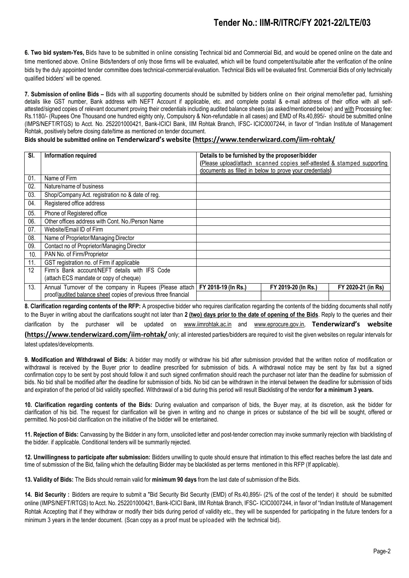**6. Two bid system-Yes,** Bids have to be submitted in online consisting Technical bid and Commercial Bid, and would be opened online on the date and time mentioned above. Online Bids/tenders of only those firms will be evaluated, which will be found competent/suitable after the verification of the online bids by the duly appointed tender committee does technical-commercial evaluation. Technical Bids will be evaluated first. Commercial Bids of only technically qualified bidders' will be opened.

**7. Submission of online Bids –** Bids with all supporting documents should be submitted by bidders online on their original memo/letter pad, furnishing details like GST number, Bank address with NEFT Account if applicable, etc. and complete postal & e-mail address of their office with all selfattested/signed copies of relevant document proving their credentials including audited balance sheets (as asked/mentioned below) and with Processing fee: Rs.1180/- (Rupees One Thousand one hundred eighty only, Compulsory & Non-refundable in all cases) and EMD of Rs.40,895/- should be submitted online (IMPS/NEFT/RTGS) to Acct. No. 252201000421, Bank-ICICI Bank, IIM Rohtak Branch, IFSC- ICIC0007244, in favor of "Indian Institute of Management Rohtak, positively before closing date/time as mentioned on tender document.

### **Bids should be submitted online on Tenderwizard's website [\(https://www.tenderwizard.com/iim-rohtak/](https://www.tenderwizard.com/iim-rohtak/)**

| SI. | Information required                                           | Details to be furnished by the proposer/bidder |                                                                         |                    |
|-----|----------------------------------------------------------------|------------------------------------------------|-------------------------------------------------------------------------|--------------------|
|     |                                                                |                                                | (Please upload/attach scanned copies self-attested & stamped supporting |                    |
|     |                                                                |                                                | documents as filled in below to prove your credentials)                 |                    |
| 01. | Name of Firm                                                   |                                                |                                                                         |                    |
| 02. | Nature/name of business                                        |                                                |                                                                         |                    |
| 03. | Shop/Company Act. registration no & date of reg.               |                                                |                                                                         |                    |
| 04. | Registered office address                                      |                                                |                                                                         |                    |
| 05. | Phone of Registered office                                     |                                                |                                                                         |                    |
| 06. | Other offices address with Cont. No./Person Name               |                                                |                                                                         |                    |
| 07. | Website/Email ID of Firm                                       |                                                |                                                                         |                    |
| 08. | Name of Proprietor/Managing Director                           |                                                |                                                                         |                    |
| 09. | Contact no of Proprietor/Managing Director                     |                                                |                                                                         |                    |
| 10. | PAN No. of Firm/Proprietor                                     |                                                |                                                                         |                    |
| 11. | GST registration no. of Firm if applicable                     |                                                |                                                                         |                    |
| 12  | Firm's Bank account/NEFT details with IFS Code                 |                                                |                                                                         |                    |
|     | (attach ECS mandate or copy of cheque)                         |                                                |                                                                         |                    |
| 13. | Annual Turnover of the company in Rupees (Please attach)       | FY 2018-19 (In Rs.)                            | FY 2019-20 (In Rs.)                                                     | FY 2020-21 (in Rs) |
|     | proof/audited balance sheet copies of previous three financial |                                                |                                                                         |                    |

**8. Clarification regarding contents of the RFP:** A prospective bidder who requires clarification regarding the contents of the bidding documents shall notify to the Buyer in writing about the clarifications sought not later than 2 (two) days prior to the date of opening of the Bids. Reply to the queries and their clarification by the purchaser will be updated on [www.iimrohtak.ac.in](http://www.iimrohtak.ac.in/) and [www.eprocure.gov.in,](http://www.eprocure.gov.in/) **Tenderwizard's website [\(https://www.tenderwizard.com/iim-rohtak/](https://www.tenderwizard.com/iim-rohtak/)** only; all interested parties/bidders are required to visit the given websites on regular intervals for latest updates/developments.

**9. Modification and Withdrawal of Bids:** A bidder may modify or withdraw his bid after submission provided that the written notice of modification or withdrawal is received by the Buyer prior to deadline prescribed for submission of bids. A withdrawal notice may be sent by fax but a signed confirmation copy to be sent by post should follow it and such signed confirmation should reach the purchaser not later than the deadline for submission of bids. No bid shall be modified after the deadline for submission of bids. No bid can be withdrawn in the interval between the deadline for submission of bids and expiration of the period of bid validity specified. Withdrawal of a bid during this period will result Blacklisting of the vendor **for a minimum 3 years.**

**10. Clarification regarding contents of the Bids:** During evaluation and comparison of bids, the Buyer may, at its discretion, ask the bidder for clarification of his bid. The request for clarification will be given in writing and no change in prices or substance of the bid will be sought, offered or permitted. No post-bid clarification on the initiative of the bidder will be entertained.

**11. Rejection of Bids:** Canvassing by the Bidder in any form, unsolicited letter and post-tender correction may invoke summarily rejection with blacklisting of the bidder. if applicable. Conditional tenders will be summarily rejected.

**12. Unwillingness to participate after submission:** Bidders unwilling to quote should ensure that intimation to this effect reaches before the last date and time of submission of the Bid, failing which the defaulting Bidder may be blacklisted as per terms mentioned in this RFP (If applicable).

**13. Validity of Bids:** The Bids should remain valid for **minimum 90 days** from the last date of submission of the Bids.

**14. Bid Security :** Bidders are require to submit a "Bid Security Bid Security (EMD) of Rs.40,895/- (2% of the cost of the tender) it should be submitted online (IMPS/NEFT/RTGS) to Acct. No. 252201000421, Bank-ICICI Bank, IIM Rohtak Branch, IFSC- ICIC0007244, in favor of "Indian Institute of Management Rohtak Accepting that if they withdraw or modify their bids during period of validity etc., they will be suspended for participating in the future tenders for a minimum 3 years in the tender document. (Scan copy as a proof must be uploaded with the technical bid)**.**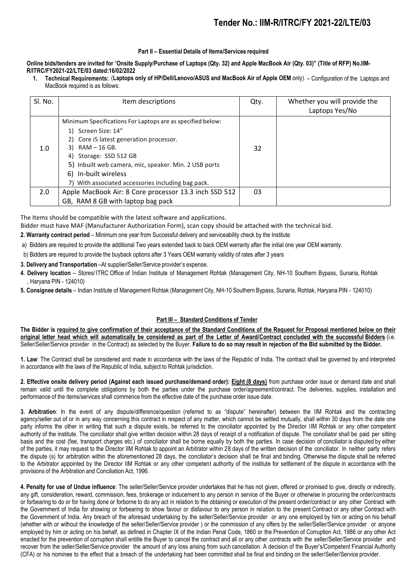#### **Part II – Essential Details of Items/Services required**

**Online bids/tenders are invited for** "**Onsite Supply/Purchase of Laptops (Qty. 32) and Apple MacBook Air (Qty. 03)" (Title of RFP) No.IIM-R/ITRC/FY2021-22/LTE/03 dated:16/02/2022**

**1. Technical Requirements:** (**Laptops only of HP/Dell/Lenovo/ASUS and MacBook Air of Apple OEM** only). – Configuration of the Laptops and MacBook required is as follows:

| SI. No. | Item descriptions                                                                                                                                                                                                                                                                                                    | Qty. | Whether you will provide the<br>Laptops Yes/No |
|---------|----------------------------------------------------------------------------------------------------------------------------------------------------------------------------------------------------------------------------------------------------------------------------------------------------------------------|------|------------------------------------------------|
| 1.0     | Minimum Specifications For Laptops are as specified below:<br>1) Screen Size: 14"<br>2) Core i5 latest generation processor.<br>$3)$ RAM $-$ 16 GB.<br>4) Storage: SSD 512 GB<br>5) Inbuilt web camera, mic, speaker. Min. 2 USB ports<br>6) In-built wireless<br>7) With associated accessories including bag pack. | 32   |                                                |
| 2.0     | Apple MacBook Air: 8 Core processor 13.3 inch SSD 512<br>GB, RAM 8 GB with laptop bag pack                                                                                                                                                                                                                           | 03   |                                                |

The Items should be compatible with the latest software and applications.

- Bidder must have MAF (Manufacturer Authorization Form), scan copy should be attached with the technical bid.
- **2. Warranty contract period** Minimum one year from Successful delivery and serviceability check by the Institute
- a) Bidders are required to provide the additional Two years extended back to back OEM warranty after the initial one year OEM warranty.
- b) Bidders are required to provide the buyback options after 3 Years OEM warranty validity of rates after 3 years
- **3. Delivery and Transportation** –At supplier/Seller/Service provider's expense.
- **4**. **Delivery location** Stores/ ITRC Office of Indian Institute of Management Rohtak (Management City, NH-10 Southern Bypass, Sunaria, Rohtak , Haryana PIN - 124010)
- **5. Consignee details** Indian Institute of Management Rohtak (Management City, NH-10 Southern Bypass, Sunaria, Rohtak, Haryana PIN 124010)

### **Part III – Standard Conditions of Tender**

The Bidder is required to give confirmation of their acceptance of the Standard Conditions of the Request for Proposal mentioned below on their original letter head which will automatically be considered as part of the Letter of Award/Contract concluded with the successful Bidders (i.e. Seller/Seller/Service provider in the Contract) as selected by the Buyer. Failure to do so may result in rejection of the Bid submitted by the Bidder.

**1. Law**: The Contract shall be considered and made in accordance with the laws of the Republic of India. The contract shall be governed by and interpreted in accordance with the laws of the Republic of India, subject to Rohtak jurisdiction.

2. Effective onsite delivery period (Against each issued purchase/demand order): Eight (8 days) from purchase order issue or demand date and shall remain valid until the complete obligations by both the parties under the purchase order/agreement/contract. The deliveries, supplies, installation and performance of the items/services shall commence from the effective date of the purchase order issue date.

**3. Arbitration**: In the event of any dispute/difference/question (referred to as "dispute" hereinafter) between the IIM Rohtak and the contracting agency/seller out of or in any way concerning this contract in respect of any matter, which cannot be settled mutually, shall within 30 days from the date one party informs the other in writing that such a dispute exists, be referred to the conciliator appointed by the Director IIM Rohtak or any other competent authority of the institute. The conciliator shall give written decision within 28 days of receipt of a notification of dispute. The conciliator shall be paid per sitting basis and the cost (fee, transport charges etc.) of conciliator shall be borne equally by both the parties. In case decision of conciliator is disputed by either of the parties, it may request to the Director IIM Rohtak to appoint an Arbitrator within 28 days of the written decision of the conciliator. In neither party refers the dispute (s) for arbitration within the aforementioned 28 days, the conciliator's decision shall be final and binding. Otherwise the dispute shall be referred to the Arbitrator appointed by the Director IIM Rohtak or any other competent authority of the institute for settlement of the dispute in accordance with the provisions of the Arbitration and Conciliation Act, 1996.

**4. Penalty for use of Undue influence**: The seller/Seller/Service provider undertakes that he has not given, offered or promised to give, directly or indirectly, any gift, consideration, reward, commission, fees, brokerage or inducement to any person in service of the Buyer or otherwise in procuring the order/contracts or forbearing to do or for having done or forborne to do any act in relation to the obtaining or execution of the present order/contract or any other Contract with the Government of India for showing or forbearing to show favour or disfavour to any person in relation to the present Contract or any other Contract with the Government of India. Any breach of the aforesaid undertaking by the seller/Seller/Service provider or any one employed by him or acting on his behalf (whether with or without the knowledge of the seller/Seller/Service provider ) or the commission of any offers by the seller/Seller/Service provider or anyone employed by him or acting on his behalf, as defined in Chapter IX of the Indian Penal Code, 1860 or the Prevention of Corruption Act, 1986 or any other Act enacted for the prevention of corruption shall entitle the Buyer to cancel the contract and all or any other contracts with the seller/Seller/Service provider and recover from the seller/Seller/Service provider the amount of any loss arising from such cancellation. A decision of the Buyer's/Competent Financial Authority (CFA) or his nominee to the effect that a breach of the undertaking had been committed shall be final and binding on the seller/Seller/Service provider.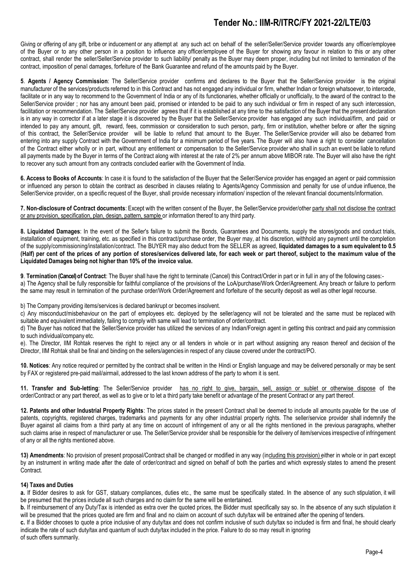Giving or offering of any gift, bribe or inducement or any attempt at any such act on behalf of the seller/Seller/Service provider towards any officer/employee of the Buyer or to any other person in a position to influence any officer/employee of the Buyer for showing any favour in relation to this or any other contract, shall render the seller/Seller/Service provider to such liability/ penalty as the Buyer may deem proper, including but not limited to termination of the contract, imposition of penal damages, forfeiture of the Bank Guarantee and refund of the amounts paid by the Buyer.

**5**. **Agents / Agency Commission**: The Seller/Service provider confirms and declares to the Buyer that the Seller/Service provider is the original manufacturer of the services/products referred to in this Contract and has not engaged any individual or firm, whether Indian or foreign whatsoever, to intercede, facilitate or in any way to recommend to the Government of India or any of its functionaries, whether officially or unofficially, to the award of the contract to the Seller/Service provider; nor has any amount been paid, promised or intended to be paid to any such individual or firm in respect of any such intercession, facilitation or recommendation. The Seller/Service provider agrees that if it is established at any time to the satisfaction of the Buyer that the present declaration is in any way in corrector if at a later stage it is discovered by the Buyer that the Seller/Service provider has engaged any such individual/firm, and paid or intended to pay any amount, gift, reward, fees, commission or consideration to such person, party, firm or institution, whether before or after the signing of this contract, the Seller/Service provider will be liable to refund that amount to the Buyer. The Seller/Service provider will also be debarred from entering into any supply Contract with the Government of India for a minimum period of five years. The Buyer will also have a right to consider cancellation of the Contract either wholly or in part, without any entitlement or compensation to the Seller/Service provider who shall in such an event be liable to refund all payments made by the Buyer in terms of the Contract along with interest at the rate of 2% per annum above MIBOR rate. The Buyer will also have the right to recover any such amount from any contracts concluded earlier with the Government of India.

**6. Access to Books of Accounts**: In case it is found to the satisfaction of the Buyer that the Seller/Service provider has engaged an agent or paid commission or influenced any person to obtain the contract as described in clauses relating to Agents/Agency Commission and penalty for use of undue influence, the Seller/Service provider, on a specific request of the Buyer, shall provide necessary information/ inspection of the relevant financial documents/information.

**7. Non-disclosure of Contract documents**: Except with the written consent of the Buyer, the Seller/Service provider/other party shall not disclose the contract or any provision, specification, plan, design, pattern, sample or information thereof to any third party.

**8. Liquidated Damages**: In the event of the Seller's failure to submit the Bonds, Guarantees and Documents, supply the stores/goods and conduct trials, installation of equipment, training, etc. as specified in this contract/purchase order, the Buyer may, at his discretion, withhold any payment until the completion of the supply/commissioning/installation/contract. The BUYER may also deduct from the SELLER as agreed, **liquidated damages to a sum equivalent to 0.5** (Half) per cent of the prices of any portion of stores/services delivered late, for each week or part thereof, subject to the maximum value of the **Liquidated Damages being not higher than 10% of the invoice value.**

**9**. **Termination (Cancel) of Contract**: The Buyer shall have the right to terminate (Cancel) this Contract/Order in part or in full in any of the following cases: a) The Agency shall be fully responsible for faithful compliance of the provisions of the LoA/purchase/Work Order/Agreement. Any breach or failure to perform the same may result in termination of the purchase order/Work Order/Agreement and forfeiture of the security deposit as well as other legal recourse.

b) The Company providing items/services is declared bankrupt or becomes insolvent.

c) Any misconduct/misbehaviour on the part of employees etc. deployed by the seller/agency will not be tolerated and the same must be replaced with suitable and equivalent immediately, failing to comply with same will lead to termination of order/contract.

d) The Buyer has noticed that the Seller/Service provider has utilized the services of any Indian/Foreign agent in getting this contract and paid any commission to such individual/company etc.

e). The Director, IIM Rohtak reserves the right to reject any or all tenders in whole or in part without assigning any reason thereof and decision of the Director, IIM Rohtak shall be final and binding on the sellers/agencies in respect of any clause covered under the contract/PO.

**10. Notices**: Any notice required or permitted by the contract shall be written in the Hindi or English language and may be delivered personally or may be sent by FAX or registered pre-paid mail/airmail, addressed to the last known address of the party to whom it is sent.

**11. Transfer and Sub-letting**: The Seller/Service provider has no right to give, bargain, sell, assign or sublet or otherwise dispose of the order/Contract or any part thereof, as well as to give or to let a third party take benefit or advantage of the present Contract or any part thereof.

**12. Patents and other Industrial Property Rights**: The prices stated in the present Contract shall be deemed to include all amounts payable for the use of patents, copyrights, registered charges, trademarks and payments for any other industrial property rights. The seller/service provider shall indemnify the Buyer against all claims from a third party at any time on account of infringement of any or all the rights mentioned in the previous paragraphs, whether such claims arise in respect of manufacturer or use. The Seller/Service provider shall be responsible for the delivery of item/services irrespective of infringement of any or all the rights mentioned above.

13) Amendments: No provision of present proposal/Contract shall be changed or modified in any way (including this provision) either in whole or in part except by an instrument in writing made after the date of order/contract and signed on behalf of both the parties and which expressly states to amend the present Contract.

#### **14) Taxes and Duties**

**a.** If Bidder desires to ask for GST, statuary compliances, duties etc., the same must be specifically stated. In the absence of any such stipulation, it will be presumed that the prices include all such charges and no claim for the same will be entertained.

**b.** If reimbursement of any Duty/Tax is intended as extra over the quoted prices, the Bidder must specifically say so. In the absence of any such stipulation it will be presumed that the prices quoted are firm and final and no claim on account of such duty/tax will be entrained after the opening of tenders.

**c.** If a Bidder chooses to quote a price inclusive of any duty/tax and does not confirm inclusive of such duty/tax so included is firm and final, he should clearly indicate the rate of such duty/tax and quantum of such duty/tax included in the price. Failure to do so may result in ignoring of such offers summarily.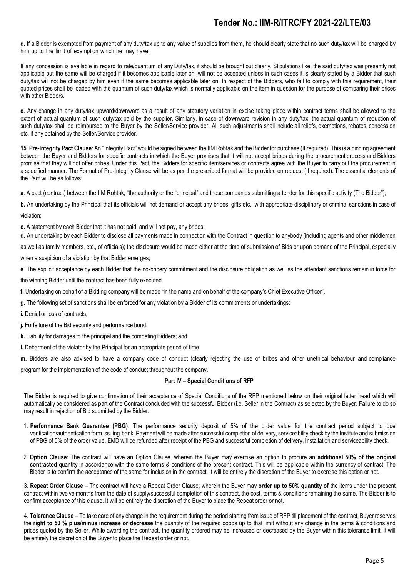**d.** If a Bidder is exempted from payment of any duty/tax up to any value of supplies from them, he should clearly state that no such duty/tax will be charged by him up to the limit of exemption which he may have.

If any concession is available in regard to rate/quantum of any Duty/tax, it should be brought out clearly. Stipulations like, the said duty/tax was presently not applicable but the same will be charged if it becomes applicable later on, will not be accepted unless in such cases it is clearly stated by a Bidder that such duty/tax will not be charged by him even if the same becomes applicable later on. In respect of the Bidders, who fail to comply with this requirement, their quoted prices shall be loaded with the quantum of such duty/tax which is normally applicable on the item in question for the purpose of comparing their prices with other Bidders.

**e**. Any change in any duty/tax upward/downward as a result of any statutory variation in excise taking place within contract terms shall be allowed to the extent of actual quantum of such duty/tax paid by the supplier. Similarly, in case of downward revision in any duty/tax, the actual quantum of reduction of such duty/tax shall be reimbursed to the Buyer by the Seller/Service provider. All such adjustments shall include all reliefs, exemptions, rebates, concession etc. if any obtained by the Seller/Service provider.

**15**. **Pre-Integrity Pact Clause**: An "Integrity Pact" would be signed between the IIM Rohtak and the Bidder for purchase (If required). This is a binding agreement between the Buyer and Bidders for specific contracts in which the Buyer promises that it will not accept bribes during the procurement process and Bidders promise that they will not offer bribes. Under this Pact, the Bidders for specific item/services or contracts agree with the Buyer to carry out the procurement in a specified manner. The Format of Pre-Integrity Clause will be as per the prescribed format will be provided on request (If required). The essential elements of the Pact will be as follows:

**a**. A pact (contract) between the IIM Rohtak, "the authority or the "principal" and those companies submitting a tender for this specific activity (The Bidder");

**b.** An undertaking by the Principal that its officials will not demand or accept any bribes, gifts etc., with appropriate disciplinary or criminal sanctions in case of violation;

**c.** A statement by each Bidder that it has not paid, and will not pay, any bribes;

**d**. An undertaking by each Bidder to disclose all payments made in connection with the Contract in question to anybody (including agents and other middlemen as well as family members, etc., of officials); the disclosure would be made either at the time of submission of Bids or upon demand of the Principal, especially when a suspicion of a violation by that Bidder emerges;

- **e**. The explicit acceptance by each Bidder that the no-bribery commitment and the disclosure obligation as well as the attendant sanctions remain in force for the winning Bidder until the contract has been fully executed.
- **f.** Undertaking on behalf of a Bidding company will be made "in the name and on behalf of the company's Chief Executive Officer".
- **g.** The following set of sanctions shall be enforced for any violation by a Bidder of its commitments or undertakings:
- **i.** Denial or loss of contracts;
- **j.** Forfeiture of the Bid security and performance bond;
- **k.** Liability for damages to the principal and the competing Bidders; and
- **l.** Debarment of the violator by the Principal for an appropriate period of time.

**m.** Bidders are also advised to have a company code of conduct (clearly rejecting the use of bribes and other unethical behaviour and compliance program for the implementation of the code of conduct throughout the company.

#### **Part IV – Special Conditions of RFP**

The Bidder is required to give confirmation of their acceptance of Special Conditions of the RFP mentioned below on their original letter head which will automatically be considered as part of the Contract concluded with the successful Bidder (i.e. Seller in the Contract) as selected by the Buyer. Failure to do so may result in rejection of Bid submitted by the Bidder.

- 1. **Performance Bank Guarantee (PBG)**: The performance security deposit of 5% of the order value for the contract period subject to due verification/authentication form issuing bank. Payment will be made after successful completion of delivery, serviceability check by the Institute and submission of PBG of 5% of the order value. EMD will be refunded after receipt of the PBG and successful completion of delivery, Installation and serviceability check.
- 2. **Option Clause**: The contract will have an Option Clause, wherein the Buyer may exercise an option to procure an **additional 50% of the original contracted** quantity in accordance with the same terms & conditions of the present contract. This will be applicable within the currency of contract. The Bidder is to confirm the acceptance of the same for inclusion in the contract. It will be entirely the discretion of the Buyer to exercise this option or not.

3. **Repeat Order Clause** – The contract will have a Repeat Order Clause, wherein the Buyer may **order up to 50% quantity of** the items under the present contract within twelve months from the date of supply/successful completion of this contract, the cost, terms & conditions remaining the same. The Bidder is to confirm acceptance of this clause. It will be entirely the discretion of the Buyer to place the Repeat order or not.

4. **Tolerance Clause** – To take care of any change in the requirement during the period starting from issue of RFP till placement of the contract, Buyer reserves the **right to 50 % plus/minus increase or decrease** the quantity of the required goods up to that limit without any change in the terms & conditions and prices quoted by the Seller. While awarding the contract, the quantity ordered may be increased or decreased by the Buyer within this tolerance limit. It will be entirely the discretion of the Buyer to place the Repeat order or not.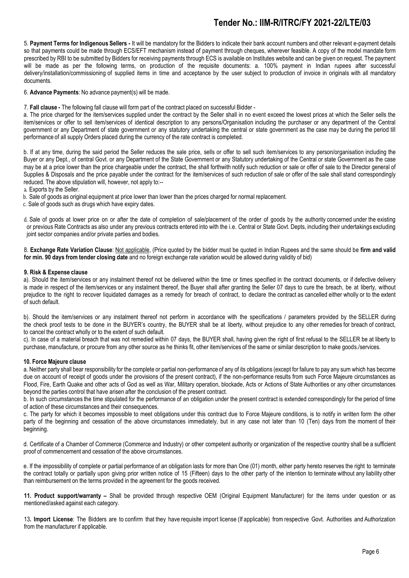5. **Payment Terms for Indigenous Sellers -** It will be mandatory for the Bidders to indicate their bank account numbers and other relevant e-payment details so that payments could be made through ECS/EFT mechanism instead of payment through cheques, wherever feasible. A copy of the model mandate form prescribed by RBI to be submitted by Bidders for receiving payments through ECS is available on Institutes website and can be given on request. The payment will be made as per the following terms, on production of the requisite documents: a. 100% payment in Indian rupees after successful delivery/installation/commissioning of supplied items in time and acceptance by the user subject to production of invoice in originals with all mandatory documents.

6. **Advance Payments**: No advance payment(s) will be made.

7. **Fall clause -** The following fall clause will form part of the contract placed on successful Bidder -

a. The price charged for the item/services supplied under the contract by the Seller shall in no event exceed the lowest prices at which the Seller sells the item/services or offer to sell item/services of identical description to any persons/Organisation including the purchaser or any department of the Central government or any Department of state government or any statutory undertaking the central or state government as the case may be during the period till performance of all supply Orders placed during the currency of the rate contract is completed.

b. If at any time, during the said period the Seller reduces the sale price, sells or offer to sell such item/services to any person/organisation including the Buyer or any Dept., of central Govt. or any Department of the State Government or any Statutory undertaking of the Central or state Government as the case may be at a price lower than the price chargeable under the contract, the shall forthwith notify such reduction or sale or offer of sale to the Director general of Supplies & Disposals and the price payable under the contract for the item/services of such reduction of sale or offer of the sale shall stand correspondingly reduced. The above stipulation will, however, not apply to:--

a. Exports by the Seller.

b. Sale of goods as original equipment at price lower than lower than the prices charged for normal replacement.

c. Sale of goods such as drugs which have expiry dates.

 d. Sale of goods at lower price on or after the date of completion of sale/placement of the order of goods by the authority concerned under the existing or previous Rate Contracts as also under any previous contracts entered into with the i.e. Central or State Govt. Depts, including their undertakings excluding joint sector companies and/or private parties and bodies.

8. **Exchange Rate Variation Clause**: Not applicable, (Price quoted by the bidder must be quoted in Indian Rupees and the same should be **firm and valid for min. 90 days from tender closing date** and no foreign exchange rate variation would be allowed during validity of bid)

#### **9. Risk & Expense clause**

a). Should the item/services or any instalment thereof not be delivered within the time or times specified in the contract documents, or if defective delivery is made in respect of the item/services or any instalment thereof, the Buyer shall after granting the Seller 07 days to cure the breach, be at liberty, without prejudice to the right to recover liquidated damages as a remedy for breach of contract, to declare the contract as cancelled either wholly or to the extent of such default.

b). Should the item/services or any instalment thereof not perform in accordance with the specifications / parameters provided by the SELLER during the check proof tests to be done in the BUYER's country, the BUYER shall be at liberty, without prejudice to any other remedies for breach of contract, to cancel the contract wholly or to the extent of such default.

c). In case of a material breach that was not remedied within 07 days, the BUYER shall, having given the right of first refusal to the SELLER be at liberty to purchase, manufacture, or procure from any other source as he thinks fit, other item/services of the same or similar description to make goods./services.

#### **10. Force Majeure clause**

a. Neither party shall bear responsibility for the complete or partial non-performance of any of its obligations (except for failure to pay any sum which has become due on account of receipt of goods under the provisions of the present contract), if the non-performance results from such Force Majeure circumstances as Flood, Fire, Earth Quake and other acts of God as well as War, Military operation, blockade, Acts or Actions of State Authorities or any other circumstances beyond the parties control that have arisen after the conclusion of the present contract.

b. In such circumstances the time stipulated for the performance of an obligation under the present contract is extended correspondingly for the period of time of action of these circumstances and their consequences.

c. The party for which it becomes impossible to meet obligations under this contract due to Force Majeure conditions, is to notify in written form the other party of the beginning and cessation of the above circumstances immediately, but in any case not later than 10 (Ten) days from the moment of their beginning.

d. Certificate of a Chamber of Commerce (Commerce and Industry) or other competent authority or organization of the respective country shall be a sufficient proof of commencement and cessation of the above circumstances.

e. If the impossibility of complete or partial performance of an obligation lasts for more than One (01) month, either party hereto reserves the right to terminate the contract totally or partially upon giving prior written notice of 15 (Fifteen) days to the other party of the intention to terminate without any liability other than reimbursement on the terms provided in the agreement for the goods received.

**11. Product support/warranty –** Shall be provided through respective OEM (Original Equipment Manufacturer) for the items under question or as mentioned/asked against each category.

13**. Import License**: The Bidders are to confirm that they have requisite import license (If applicable) from respective Govt. Authorities and Authorization from the manufacturer if applicable.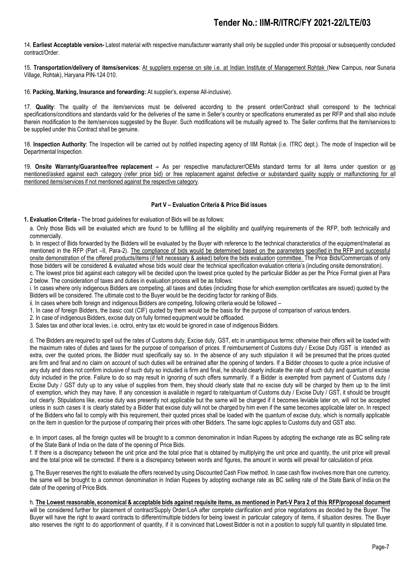14. **Earliest Acceptable version-** Latest material with respective manufacturer warranty shall only be supplied under this proposal or subsequently concluded contract/Order.

15. **Transportation/delivery of items/services**: At suppliers expense on site i.e. at Indian Institute of Management Rohtak (New Campus, near Sunaria Village, Rohtak), Haryana PIN-124 010.

16. **Packing, Marking, Insurance and forwarding:** At supplier's, expense All-inclusive).

17. **Quality**: The quality of the item/services must be delivered according to the present order/Contract shall correspond to the technical specifications/conditions and standards valid for the deliveries of the same in Seller's country or specifications enumerated as per RFP and shall also include therein modification to the item/services suggested by the Buyer. Such modifications will be mutually agreed to. The Seller confirms that the item/services to be supplied under this Contract shall be genuine.

18. **Inspection Authority**: The Inspection will be carried out by notified inspecting agency of IIM Rohtak (i.e. ITRC dept.). The mode of Inspection will be Departmental Inspection.

19. **Onsite Warranty/Guarantee/free replacement –** As per respective manufacturer/OEMs standard terms for all items under question or as mentioned/asked against each category (refer price bid) or free replacement against defective or substandard quality supply or malfunctioning for all mentioned items/services if not mentioned against the respective category.

#### **Part V – Evaluation Criteria & Price Bid issues**

**1. Evaluation Criteria -** The broad guidelines for evaluation of Bids will be as follows:

a. Only those Bids will be evaluated which are found to be fulfilling all the eligibility and qualifying requirements of the RFP, both technically and commercially.

b. In respect of Bids forwarded by the Bidders will be evaluated by the Buyer with reference to the technical characteristics of the equipment/material as mentioned in the RFP (Part –II, Para-2). The compliance of bids would be determined based on the parameters specified in the RFP and successful onsite demonstration of the offered products/items (if felt necessary & asked) before the bids evaluation committee. The Price Bids/Commercials of only those bidders will be considered & evaluated whose bids would clear the technical specification evaluation criteria's (including onsite demonstration).

c. The lowest price bid against each category will be decided upon the lowest price quoted by the particular Bidder as per the Price Format given at Para 2 below. The consideration of taxes and duties in evaluation process will be as follows:

i. In cases where only indigenous Bidders are competing, all taxes and duties (including those for which exemption certificates are issued) quoted by the Bidders will be considered. The ultimate cost to the Buyer would be the deciding factor for ranking of Bids.

ii. In cases where both foreign and indigenous Bidders are competing, following criteria would be followed –

1. In case of foreign Bidders, the basic cost (CIF) quoted by them would be the basis for the purpose of comparison of various tenders.

2. In case of indigenous Bidders, excise duty on fully formed equipment would be offloaded.

3. Sales tax and other local levies, i.e. octroi, entry tax etc would be ignored in case of indigenous Bidders.

d. The Bidders are required to spell out the rates of Customs duty, Excise duty, GST, etc in unambiguous terms; otherwise their offers will be loaded with the maximum rates of duties and taxes for the purpose of comparison of prices. If reimbursement of Customs duty / Excise Duty /GST is intended as extra, over the quoted prices, the Bidder must specifically say so. In the absence of any such stipulation it will be presumed that the prices quoted are firm and final and no claim on account of such duties will be entrained after the opening of tenders. If a Bidder chooses to quote a price inclusive of any duty and does not confirm inclusive of such duty so included is firm and final, he should clearly indicate the rate of such duty and quantum of excise duty included in the price. Failure to do so may result in ignoring of such offers summarily. If a Bidder is exempted from payment of Customs duty / Excise Duty / GST duty up to any value of supplies from them, they should clearly state that no excise duty will be charged by them up to the limit of exemption, which they may have. If any concession is available in regard to rate/quantum of Customs duty / Excise Duty / GST, it should be brought out clearly. Stipulations like, excise duty was presently not applicable but the same will be charged if it becomes leviable later on, will not be accepted unless in such cases it is clearly stated by a Bidder that excise duty will not be charged by him even if the same becomes applicable later on. In respect of the Bidders who fail to comply with this requirement, their quoted prices shall be loaded with the quantum of excise duty, which is normally applicable on the item in question for the purpose of comparing their prices with other Bidders. The same logic applies to Customs duty and GST also.

e. In import cases, all the foreign quotes will be brought to a common denomination in Indian Rupees by adopting the exchange rate as BC selling rate of the State Bank of India on the date of the opening of Price Bids.

f. If there is a discrepancy between the unit price and the total price that is obtained by multiplying the unit price and quantity, the unit price will prevail and the total price will be corrected. If there is a discrepancy between words and figures, the amount in words will prevail for calculation of price.

g. The Buyer reserves the right to evaluate the offers received by using Discounted Cash Flow method. In case cash flow involves more than one currency, the same will be brought to a common denomination in Indian Rupees by adopting exchange rate as BC selling rate of the State Bank of India on the date of the opening of Price Bids.

#### h. The Lowest reasonable, economical & acceptable bids against requisite items, as mentioned in Part-V Para 2 of this RFP/proposal document

will be considered further for placement of contract/Supply Order/LoA after complete clarification and price negotiations as decided by the Buyer. The Buyer will have the right to award contracts to different/multiple bidders for being lowest in particular category of items, if situation desires. The Buyer also reserves the right to do apportionment of quantity, if it is convinced that Lowest Bidder is not in a position to supply full quantity in stipulated time.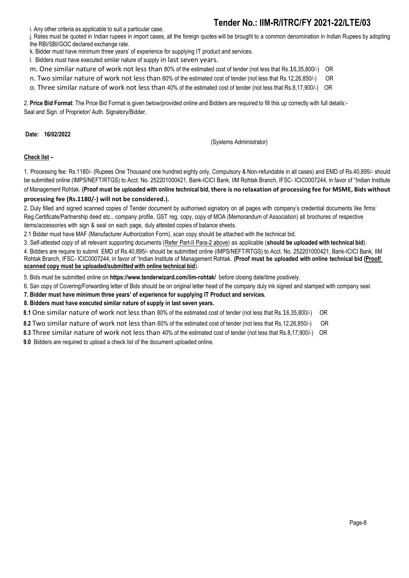i. Any other criteria as applicable to suit a particular case.

j. Rates must be quoted in Indian rupees in import cases, all the foreign quotes will be brought to a common denomination in Indian Rupees by adopting the RBI/SBI/GOC declared exchange rate.

k. Bidder must have minimum three years' of experience for supplying IT product and services.

l. Bidders must have executed similar nature of supply in last seven years.

m. One similar nature of work not less than 80% of the estimated cost of tender (not less that Rs.16,35,800/-) OR

n. Two similar nature of work not less than 60% of the estimated cost of tender (not less that Rs.12,26,850/-) OR

o. Three similar nature of work not less than 40% of the estimated cost of tender (not less that Rs.8,17,900/-) OR

2. **Price Bid Format**: The Price Bid Format is given below/provided online and Bidders are required to fill this up correctly with full details:- Seal and Sign. of Proprietor/ Auth. Signatory/Bidder,

**Date: 16/02/2022**

(Systems Administrator)

### **Check list –**

1. Processing fee: Rs.1180/- (Rupees One Thousand one hundred eighty only, Compulsory & Non-refundable in all cases) and EMD of Rs.40,895/- should be submitted online (IMPS/NEFT/RTGS) to Acct. No. 252201000421, Bank-ICICI Bank, IIM Rohtak Branch, IFSC- ICIC0007244, in favor of "Indian Institute of Management Rohtak. **(Proof must be uploaded with online technical bid, there is no relaxation of processing fee for MSME, Bids without** 

### **processing fee (Rs.1180/-) will not be considered.).**

2. Duly filled and signed scanned copies of Tender document by authorised signatory on all pages with company's credential documents like firms' Reg.Certificate/Partnership deed etc., company profile, GST reg. copy, copy of MOA (Memorandum of Association) all brochures of respective items/accessories with sign & seal on each page, duly attested copies of balance sheets.

2.1 Bidder must have MAF (Manufacturer Authorization Form), scan copy should be attached with the technical bid.

3. Self-attested copy of all relevant supporting documents (Refer Part-II Para-2 above) as applicable (**should be uploaded with technical bid**).

4. Bidders are require to submit EMD of Rs.40,895/- should be submitted online (IMPS/NEFT/RTGS) to Acct. No. 252201000421, Bank-ICICI Bank, IIM Rohtak Branch, IFSC- ICIC0007244, in favor of "Indian Institute of Management Rohtak. **(Proof must be uploaded with online technical bid (Proof/ scanned copy must be uploaded/submitted with online technical bid**).

5. Bids must be submitted online on **<https://www.tenderwizard.com/iim-rohtak/>** before closing date/time positively.

- 6. San copy of Covering/Forwarding letter of Bids should be on original letter head of the company duly ink signed and stamped with company seal.
- **7. Bidder must have minimum three years' of experience for supplying IT Product and services.**

**8. Bidders must have executed similar nature of supply in last seven years.** 

 **8.1** One similar nature of work not less than 80% of the estimated cost of tender (not less that Rs.16,35,800/-) OR

**8.2** Two similar nature of work not less than 60% of the estimated cost of tender (not less that Rs.12,26,850/-) OR

**8.3** Three similar nature of work not less than 40% of the estimated cost of tender (not less that Rs.8,17,900/-) OR

 **9.0** Bidders are required to upload a check list of the document uploaded online.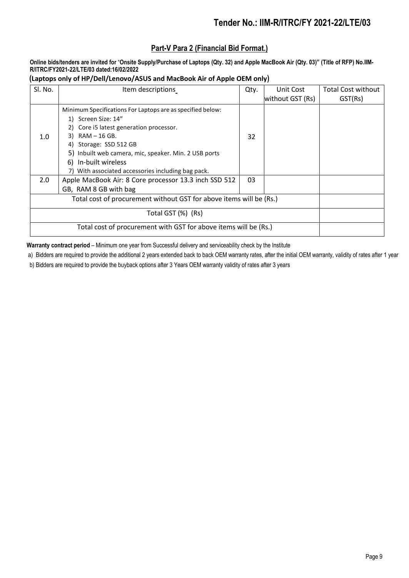## **Part-V Para 2 (Financial Bid Format.)**

**Online bids/tenders are invited for** "**Onsite Supply/Purchase of Laptops (Qty. 32) and Apple MacBook Air (Qty. 03)" (Title of RFP) No.IIM-R/ITRC/FY2021-22/LTE/03 dated:16/02/2022**

 **(Laptops only of HP/Dell/Lenovo/ASUS and MacBook Air of Apple OEM only)**

| SI. No. | Item descriptions                                          | Qty. | Unit Cost        | <b>Total Cost without</b> |
|---------|------------------------------------------------------------|------|------------------|---------------------------|
|         |                                                            |      | without GST (Rs) | GST(Rs)                   |
|         | Minimum Specifications For Laptops are as specified below: |      |                  |                           |
|         | 1) Screen Size: 14"                                        |      |                  |                           |
|         | 2) Core i5 latest generation processor.                    |      |                  |                           |
| 1.0     | $3)$ RAM $-$ 16 GB.                                        | 32   |                  |                           |
|         | 4) Storage: SSD 512 GB                                     |      |                  |                           |
|         | 5) Inbuilt web camera, mic, speaker. Min. 2 USB ports      |      |                  |                           |
|         | 6) In-built wireless                                       |      |                  |                           |
|         | 7) With associated accessories including bag pack.         |      |                  |                           |
| 2.0     | Apple MacBook Air: 8 Core processor 13.3 inch SSD 512      | 03   |                  |                           |
|         | GB, RAM 8 GB with bag                                      |      |                  |                           |
|         |                                                            |      |                  |                           |
|         | Total GST (%) (Rs)                                         |      |                  |                           |
|         |                                                            |      |                  |                           |

**Warranty contract period** – Minimum one year from Successful delivery and serviceability check by the Institute

a) Bidders are required to provide the additional 2 years extended back to back OEM warranty rates, after the initial OEM warranty, validity of rates after 1 year

b) Bidders are required to provide the buyback options after 3 Years OEM warranty validity of rates after 3 years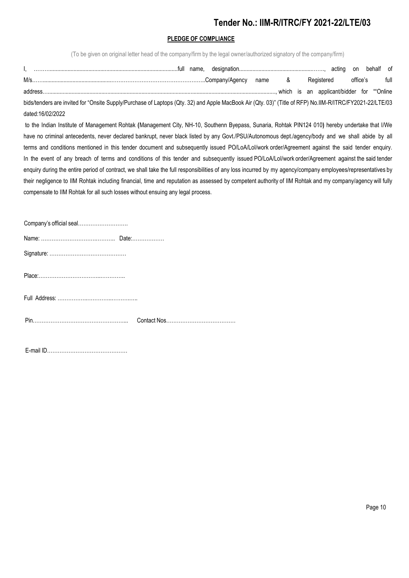## **PLEDGE OF COMPLIANCE**

(To be given on original letter head of the company/firm by the legal owner/authorized signatory of the company/firm)

|                                                                                                                                                          |  |  | Registered | office's | full |  |
|----------------------------------------------------------------------------------------------------------------------------------------------------------|--|--|------------|----------|------|--|
|                                                                                                                                                          |  |  |            |          |      |  |
| bids/tenders are invited for "Onsite Supply/Purchase of Laptops (Qty. 32) and Apple MacBook Air (Qty. 03)" (Title of RFP) No.IIM-R/ITRC/FY2021-22/LTE/03 |  |  |            |          |      |  |
| dated:16/02/2022                                                                                                                                         |  |  |            |          |      |  |

to the Indian Institute of Management Rohtak **(**Management City, NH-10, Southenn Byepass, Sunaria, Rohtak PIN124 010**)** hereby undertake that I/We have no criminal antecedents, never declared bankrupt, never black listed by any Govt./PSU/Autonomous dept./agency/body and we shall abide by all terms and conditions mentioned in this tender document and subsequently issued PO/LoA/LoI/work order/Agreement against the said tender enquiry. In the event of any breach of terms and conditions of this tender and subsequently issued PO/LoA/LoI/work order/Agreement against the said tender enquiry during the entire period of contract, we shall take the full responsibilities of any loss incurred by my agency/company employees/representatives by their negligence to IIM Rohtak including financial, time and reputation as assessed by competent authority of IIM Rohtak and my company/agency will fully compensate to IIM Rohtak for all such losses without ensuing any legal process.

| Company's official seal |  |
|-------------------------|--|
|                         |  |
|                         |  |
|                         |  |
|                         |  |
|                         |  |